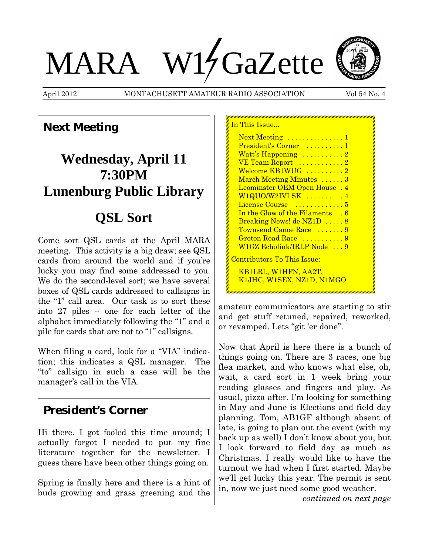# MARA W14 GaZette



April 2012 MONTACHUSETT AMATEUR RADIO ASSOCIATION Vol 54 No. 4

In This Issue...

## **Next Meeting**

# **Wednesday, April 11 7:30PM Lunenburg Public Library**

# **QSL Sort**

Come sort QSL cards at the April MARA meeting. This activity is a big draw; see QSL cards from around the world and if you're lucky you may find some addressed to you. We do the second-level sort; we have several boxes of QSL cards addressed to callsigns in the "1" call area. Our task is to sort these into 27 piles -- one for each letter of the alphabet immediately following the "1" and a pile for cards that are not to "1" callsigns.

When filing a card, look for a "VIA" indication; this indicates a QSL manager. The "to" callsign in such a case will be the manager's call in the VIA.

### **President's Corner**

Hi there. I got fooled this time around; I actually forgot I needed to put my fine literature together for the newsletter. I guess there have been other things going on.

Spring is finally here and there is a hint of buds growing and grass greening and the

| Next Meeting  1                     |
|-------------------------------------|
| President's Corner  1               |
| Watt's Happening 2                  |
| VE Team Report  2                   |
| Welcome KB1WUG 2                    |
| March Meeting Minutes 3             |
| Leominster OEM Open House . 4       |
| W1QUO/W2IVI SK  4                   |
| License Course  5                   |
| In the Glow of the Filaments 6      |
| Breaking News! de NZ1D  8           |
| Townsend Canoe Race  9              |
| Groton Road Race 9                  |
| W1GZ Echolink/IRLP Node 9           |
| <u> Contributors To This Issue:</u> |
| KB1LRL, W1HFN, AA2T,                |
| K1JHC, W1SEX, NZ1D, N1MGO           |
|                                     |

amateur communicators are starting to stir and get stuff retuned, repaired, reworked, or revamped. Lets "git 'er done".

Now that April is here there is a bunch of things going on. There are 3 races, one big flea market, and who knows what else, oh, wait, a card sort in 1 week bring your reading glasses and fingers and play. As usual, pizza after. I'm looking for something in May and June is Elections and field day planning. Tom, AB1GF although absent of late, is going to plan out the event (with my back up as well) I don't know about you, but I look forward to field day as much as Christmas. I really would like to have the turnout we had when I first started. Maybe we'll get lucky this year. The permit is sent in, now we just need some good weather.

*continued on next page*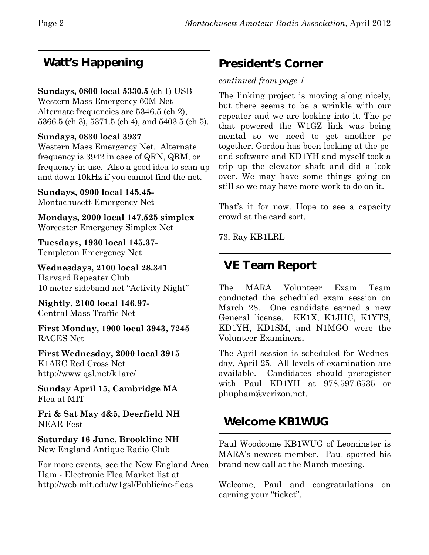## **Watt's Happening**

#### **Sundays, 0800 local 5330.5** (ch 1) USB

Western Mass Emergency 60M Net Alternate frequencies are 5346.5 (ch 2), 5366.5 (ch 3), 5371.5 (ch 4), and 5403.5 (ch 5).

#### **Sundays, 0830 local 3937**

Western Mass Emergency Net. Alternate frequency is 3942 in case of QRN, QRM, or frequency in-use. Also a good idea to scan up and down 10kHz if you cannot find the net.

**Sundays, 0900 local 145.45-** Montachusett Emergency Net

**Mondays, 2000 local 147.525 simplex** Worcester Emergency Simplex Net

**Tuesdays, 1930 local 145.37-** Templeton Emergency Net

**Wednesdays, 2100 local 28.341** Harvard Repeater Club 10 meter sideband net "Activity Night"

**Nightly, 2100 local 146.97-** Central Mass Traffic Net

**First Monday, 1900 local 3943, 7245** RACES Net

**First Wednesday, 2000 local 3915** K1ARC Red Cross Net http://www.qsl.net/k1arc/

**Sunday April 15, Cambridge MA** Flea at MIT

**Fri & Sat May 4&5, Deerfield NH** NEAR-Fest

**Saturday 16 June, Brookline NH** New England Antique Radio Club

For more events, see the New England Area Ham - Electronic Flea Market list at http://web.mit.edu/w1gsl/Public/ne-fleas

# **President's Corner**

#### *continued from page 1*

The linking project is moving along nicely, but there seems to be a wrinkle with our repeater and we are looking into it. The pc that powered the W1GZ link was being mental so we need to get another pc together. Gordon has been looking at the pc and software and KD1YH and myself took a trip up the elevator shaft and did a look over. We may have some things going on still so we may have more work to do on it.

That's it for now. Hope to see a capacity crowd at the card sort.

73, Ray KB1LRL

## **VE Team Report**

The MARA Volunteer Exam Team conducted the scheduled exam session on March 28. One candidate earned a new General license.KK1X, K1JHC, K1YTS, KD1YH, KD1SM, and N1MGO were the Volunteer Examiners**.**

The April session is scheduled for Wednesday, April 25. All levels of examination are available. Candidates should preregister with Paul KD1YH at 978.597.6535 or phupham@verizon.net.

## **Welcome KB1WUG**

Paul Woodcome KB1WUG of Leominster is MARA's newest member. Paul sported his brand new call at the March meeting.

Welcome, Paul and congratulations on earning your "ticket".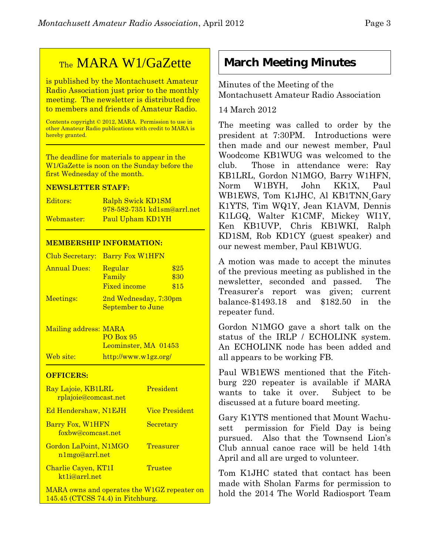# TheMARA W1/GaZette

is published by the Montachusett Amateur Radio Association just prior to the monthly meeting. The newsletter is distributed free to members and friends of Amateur Radio.

Contents copyright © 2012, MARA. Permission to use in other Amateur Radio publications with credit to MARA is hereby granted.

The deadline for materials to appear in the W1/GaZette is noon on the Sunday before the first Wednesday of the month.

#### **NEWSLETTER STAFF:**

| Editors:   | Ralph Swick KD1SM                  |
|------------|------------------------------------|
|            | <u>978-582-7351 kd1sm@arrl.net</u> |
| Webmaster: | Paul Upham KD1YH                   |

#### **MEMBERSHIP INFORMATION:**

|                     | Club Secretary: Barry Fox W1HFN                   |                      |
|---------------------|---------------------------------------------------|----------------------|
| <b>Annual Dues:</b> | Regular<br>Family<br><b>Fixed income</b>          | \$25<br>\$30<br>\$15 |
| Meetings:           | 2nd Wednesday, 7:30pm<br><b>September to June</b> |                      |

Mailing address: MARA PO Box 95 Leominster, MA 01453 Web site: http://www.w1gz.org/

#### **OFFICERS:**

| Ray Lajoie, KB1LRL<br>rplajoie@comcast.net        | President             |
|---------------------------------------------------|-----------------------|
| <b>Ed Hendershaw, N1EJH</b>                       | <b>Vice President</b> |
| Barry Fox, W1HFN<br>foxbw@comcast.net             | Secretary             |
| Gordon LaPoint, N1MGO<br>n1mgo@arrl.net           | Treasurer             |
| Charlie Cayen, KT1I<br>kt <sub>1</sub> i@arrl.net | Trustee               |
| MARA owns and operates the W1GZ repeater on       |                       |

145.45 (CTCSS 74.4) in Fitchburg.

# **March Meeting Minutes**

Minutes of the Meeting of the Montachusett Amateur Radio Association

#### 14 March 2012

The meeting was called to order by the president at 7:30PM. Introductions were then made and our newest member, Paul Woodcome KB1WUG was welcomed to the club. Those in attendance were: Ray KB1LRL, Gordon N1MGO, Barry W1HFN, Norm W1BYH, John KK1X, Paul WB1EWS, Tom K1JHC, Al KB1TNN¸Gary K1YTS, Tim WQ1Y, Jean K1AVM, Dennis K1LGQ, Walter K1CMF, Mickey WI1Y, Ken KB1UVP, Chris KB1WKI, Ralph KD1SM, Rob KD1CY (guest speaker) and our newest member, Paul KB1WUG.

A motion was made to accept the minutes of the previous meeting as published in the newsletter, seconded and passed. The Treasurer's report was given; current balance-\$1493.18 and \$182.50 in the repeater fund.

Gordon N1MGO gave a short talk on the status of the IRLP / ECHOLINK system. An ECHOLINK node has been added and all appears to be working FB.

Paul WB1EWS mentioned that the Fitchburg 220 repeater is available if MARA wants to take it over. Subject to be discussed at a future board meeting.

Gary K1YTS mentioned that Mount Wachusett permission for Field Day is being pursued. Also that the Townsend Lion's Club annual canoe race will be held 14th April and all are urged to volunteer.

Tom K1JHC stated that contact has been made with Sholan Farms for permission to hold the 2014 The World Radiosport Team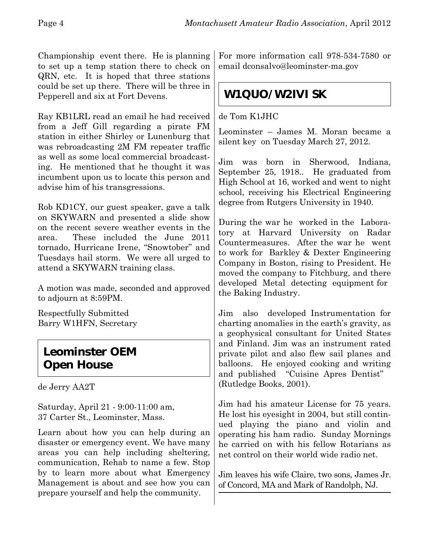Championship event there. He is planning to set up a temp station there to check on QRN, etc. It is hoped that three stations could be set up there. There will be three in Pepperell and six at Fort Devens.

Ray KB1LRL read an email he had received from a Jeff Gill regarding a pirate FM station in either Shirley or Lunenburg that was rebroadcasting 2M FM repeater traffic as well as some local commercial broadcasting. He mentioned that he thought it was incumbent upon us to locate this person and advise him of his transgressions.

Rob KD1CY, our guest speaker, gave a talk on SKYWARN and presented a slide show on the recent severe weather events in the area. These included the June 2011 tornado, Hurricane Irene, "Snowtober" and Tuesdays hail storm. We were all urged to attend a SKYWARN training class.

A motion was made, seconded and approved to adjourn at 8:59PM.

Respectfully Submitted Barry W1HFN, Secretary

## **Leominster OEM Open House**

de Jerry AA2T

Saturday, April 21 - 9:00-11:00 am, 37 Carter St., Leominster, Mass.

Learn about how you can help during an disaster or emergency event. We have many areas you can help including sheltering, communication, Rehab to name a few. Stop by to learn more about what Emergency Management is about and see how you can prepare yourself and help the community.

For more information call 978-534-7580 or email dconsalvo@leominster-ma.gov

# **W1QUO/W2IVI SK**

de Tom K1JHC

Leominster – James M. Moran became a silent key on Tuesday March 27, 2012.

Jim was born in Sherwood, Indiana, September 25, 1918.. He graduated from High School at 16, worked and went to night school, receiving his Electrical Engineering degree from Rutgers University in 1940.

During the war he worked in the Laboratory at Harvard University on Radar Countermeasures. After the war he went to work for Barkley & Dexter Engineering Company in Boston, rising to President. He moved the company to Fitchburg, and there developed Metal detecting equipment for the Baking Industry.

Jim also developed Instrumentation for charting anomalies in the earth's gravity, as a geophysical consultant for United States and Finland. Jim was an instrument rated private pilot and also flew sail planes and balloons. He enjoyed cooking and writing and published "Cuisine Apres Dentist" (Rutledge Books, 2001).

Jim had his amateur License for 75 years. He lost his eyesight in 2004, but still continued playing the piano and violin and operating his ham radio. Sunday Mornings he carried on with his fellow Rotarians as net control on their world wide radio net.

Jim leaves his wife Claire, two sons, James Jr. of Concord, MA and Mark of Randolph, NJ.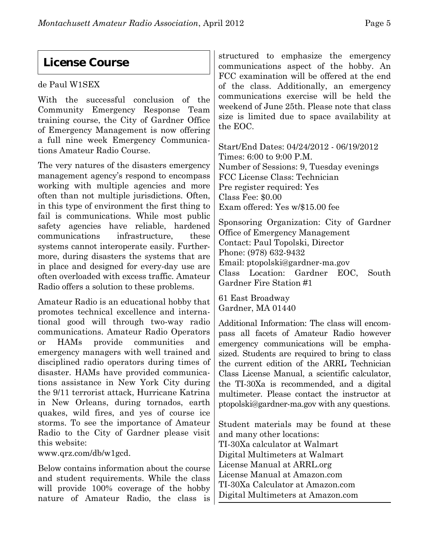## **License Course**

#### de Paul W1SEX

With the successful conclusion of the Community Emergency Response Team training course, the City of Gardner Office of Emergency Management is now offering a full nine week Emergency Communications Amateur Radio Course.

The very natures of the disasters emergency management agency's respond to encompass working with multiple agencies and more often than not multiple jurisdictions. Often, in this type of environment the first thing to fail is communications. While most public safety agencies have reliable, hardened communications infrastructure, these systems cannot interoperate easily. Furthermore, during disasters the systems that are in place and designed for every-day use are often overloaded with excess traffic. Amateur Radio offers a solution to these problems.

Amateur Radio is an educational hobby that promotes technical excellence and international good will through two-way radio communications. Amateur Radio Operators or HAMs provide communities and emergency managers with well trained and disciplined radio operators during times of disaster. HAMs have provided communications assistance in New York City during the 9/11 terrorist attack, Hurricane Katrina in New Orleans, during tornados, earth quakes, wild fires, and yes of course ice storms. To see the importance of Amateur Radio to the City of Gardner please visit this website:

www.qrz.com/db/w1gcd.

Below contains information about the course and student requirements. While the class will provide 100% coverage of the hobby nature of Amateur Radio, the class is

structured to emphasize the emergency communications aspect of the hobby. An FCC examination will be offered at the end of the class. Additionally, an emergency communications exercise will be held the weekend of June 25th. Please note that class size is limited due to space availability at the EOC.

Start/End Dates: 04/24/2012 - 06/19/2012 Times: 6:00 to 9:00 P.M. Number of Sessions: 9, Tuesday evenings FCC License Class: Technician Pre register required: Yes Class Fee: \$0.00 Exam offered: Yes w/\$15.00 fee

Sponsoring Organization: City of Gardner Office of Emergency Management Contact: Paul Topolski, Director Phone: (978) 632-9432 Email: ptopolski@gardner-ma.gov Class Location: Gardner EOC, South Gardner Fire Station #1

61 East Broadway Gardner, MA 01440

Additional Information: The class will encompass all facets of Amateur Radio however emergency communications will be emphasized. Students are required to bring to class the current edition of the ARRL Technician Class License Manual, a scientific calculator, the TI-30Xa is recommended, and a digital multimeter. Please contact the instructor at ptopolski@gardner-ma.gov with any questions.

Student materials may be found at these and many other locations: TI-30Xa calculator at Walmart Digital Multimeters at Walmart License Manual at ARRL.org License Manual at Amazon.com TI-30Xa Calculator at Amazon.com Digital Multimeters at Amazon.com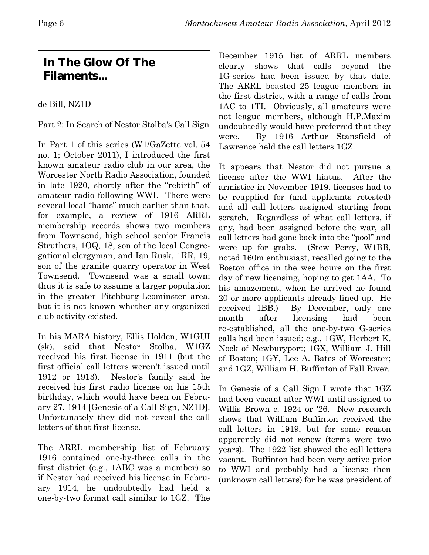## **In The Glow Of The Filaments...**

de Bill, NZ1D

Part 2: In Search of Nestor Stolba's Call Sign

In Part 1 of this series (W1/GaZette vol. 54 no. 1; October 2011), I introduced the first known amateur radio club in our area, the Worcester North Radio Association, founded in late 1920, shortly after the "rebirth" of amateur radio following WWI. There were several local "hams" much earlier than that, for example, a review of 1916 ARRL membership records shows two members from Townsend, high school senior Francis Struthers, 1OQ, 18, son of the local Congregational clergyman, and Ian Rusk, 1RR, 19, son of the granite quarry operator in West Townsend. Townsend was a small town; thus it is safe to assume a larger population in the greater Fitchburg-Leominster area, but it is not known whether any organized club activity existed.

In his MARA history, Ellis Holden, W1GUI (sk), said that Nestor Stolba, W1GZ received his first license in 1911 (but the first official call letters weren't issued until 1912 or 1913). Nestor's family said he received his first radio license on his 15th birthday, which would have been on February 27, 1914 [Genesis of a Call Sign, NZ1D]. Unfortunately they did not reveal the call letters of that first license.

The ARRL membership list of February 1916 contained one-by-three calls in the first district (e.g., 1ABC was a member) so if Nestor had received his license in February 1914, he undoubtedly had held a one-by-two format call similar to 1GZ. The December 1915 list of ARRL members clearly shows that calls beyond the 1G-series had been issued by that date. The ARRL boasted 25 league members in the first district, with a range of calls from 1AC to 1TI. Obviously, all amateurs were not league members, although H.P.Maxim undoubtedly would have preferred that they were. By 1916 Arthur Stansfield of Lawrence held the call letters 1GZ.

It appears that Nestor did not pursue a license after the WWI hiatus. After the armistice in November 1919, licenses had to be reapplied for (and applicants retested) and all call letters assigned starting from scratch. Regardless of what call letters, if any, had been assigned before the war, all call letters had gone back into the "pool" and were up for grabs. (Stew Perry, W1BB, noted 160m enthusiast, recalled going to the Boston office in the wee hours on the first day of new licensing, hoping to get 1AA. To his amazement, when he arrived he found 20 or more applicants already lined up. He received 1BB.) By December, only one month after licensing had been re-established, all the one-by-two G-series calls had been issued; e.g., 1GW, Herbert K. Nock of Newburyport; 1GX, William J. Hill of Boston; 1GY, Lee A. Bates of Worcester; and 1GZ, William H. Buffinton of Fall River.

In Genesis of a Call Sign I wrote that 1GZ had been vacant after WWI until assigned to Willis Brown c. 1924 or '26. New research shows that William Buffinton received the call letters in 1919, but for some reason apparently did not renew (terms were two years). The 1922 list showed the call letters vacant. Buffinton had been very active prior to WWI and probably had a license then (unknown call letters) for he was president of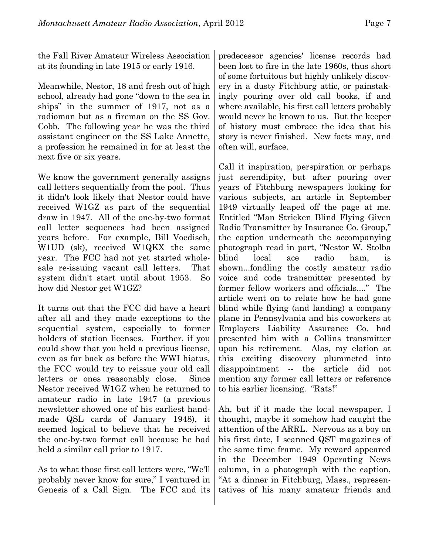the Fall River Amateur Wireless Association at its founding in late 1915 or early 1916.

Meanwhile, Nestor, 18 and fresh out of high school, already had gone "down to the sea in ships" in the summer of 1917, not as a radioman but as a fireman on the SS Gov. Cobb. The following year he was the third assistant engineer on the SS Lake Annette, a profession he remained in for at least the next five or six years.

We know the government generally assigns call letters sequentially from the pool. Thus it didn't look likely that Nestor could have received W1GZ as part of the sequential draw in 1947. All of the one-by-two format call letter sequences had been assigned years before. For example, Bill Voedisch, W1UD (sk), received W1QKX the same year. The FCC had not yet started wholesale re-issuing vacant call letters. That system didn't start until about 1953. So how did Nestor get W1GZ?

It turns out that the FCC did have a heart after all and they made exceptions to the sequential system, especially to former holders of station licenses. Further, if you could show that you held a previous license, even as far back as before the WWI hiatus, the FCC would try to reissue your old call letters or ones reasonably close. Since Nestor received W1GZ when he returned to amateur radio in late 1947 (a previous newsletter showed one of his earliest handmade QSL cards of January 1948), it seemed logical to believe that he received the one-by-two format call because he had held a similar call prior to 1917.

As to what those first call letters were, "We'll probably never know for sure," I ventured in Genesis of a Call Sign. The FCC and its

predecessor agencies' license records had been lost to fire in the late 1960s, thus short of some fortuitous but highly unlikely discovery in a dusty Fitchburg attic, or painstakingly pouring over old call books, if and where available, his first call letters probably would never be known to us. But the keeper of history must embrace the idea that his story is never finished. New facts may, and often will, surface.

Call it inspiration, perspiration or perhaps just serendipity, but after pouring over years of Fitchburg newspapers looking for various subjects, an article in September 1949 virtually leaped off the page at me. Entitled "Man Stricken Blind Flying Given Radio Transmitter by Insurance Co. Group," the caption underneath the accompanying photograph read in part, "Nestor W. Stolba blind local ace radio ham, is shown...fondling the costly amateur radio voice and code transmitter presented by former fellow workers and officials...." The article went on to relate how he had gone blind while flying (and landing) a company plane in Pennsylvania and his coworkers at Employers Liability Assurance Co. had presented him with a Collins transmitter upon his retirement. Alas, my elation at this exciting discovery plummeted into disappointment -- the article did not mention any former call letters or reference to his earlier licensing. "Rats!"

Ah, but if it made the local newspaper, I thought, maybe it somehow had caught the attention of the ARRL. Nervous as a boy on his first date, I scanned QST magazines of the same time frame. My reward appeared in the December 1949 Operating News column, in a photograph with the caption, "At a dinner in Fitchburg, Mass., representatives of his many amateur friends and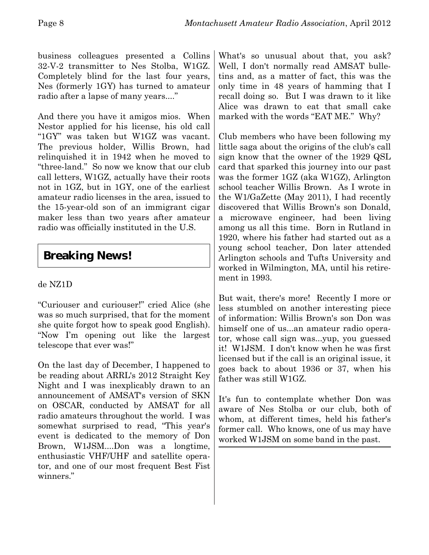business colleagues presented a Collins 32-V-2 transmitter to Nes Stolba, W1GZ. Completely blind for the last four years, Nes (formerly 1GY) has turned to amateur radio after a lapse of many years...."

And there you have it amigos mios. When Nestor applied for his license, his old call "1GY" was taken but W1GZ was vacant. The previous holder, Willis Brown, had relinquished it in 1942 when he moved to "three-land." So now we know that our club call letters, W1GZ, actually have their roots not in 1GZ, but in 1GY, one of the earliest amateur radio licenses in the area, issued to the 15-year-old son of an immigrant cigar maker less than two years after amateur radio was officially instituted in the U.S.

## **Breaking News!**

#### de NZ1D

"Curiouser and curiouser!" cried Alice (she was so much surprised, that for the moment she quite forgot how to speak good English). "Now I'm opening out like the largest telescope that ever was!"

On the last day of December, I happened to be reading about ARRL's 2012 Straight Key Night and I was inexplicably drawn to an announcement of AMSAT's version of SKN on OSCAR, conducted by AMSAT for all radio amateurs throughout the world. I was somewhat surprised to read, "This year's event is dedicated to the memory of Don Brown, W1JSM....Don was a longtime, enthusiastic VHF/UHF and satellite operator, and one of our most frequent Best Fist winners."

What's so unusual about that, you ask? Well, I don't normally read AMSAT bulletins and, as a matter of fact, this was the only time in 48 years of hamming that I recall doing so. But I was drawn to it like Alice was drawn to eat that small cake marked with the words "EAT ME." Why?

Club members who have been following my little saga about the origins of the club's call sign know that the owner of the 1929 QSL card that sparked this journey into our past was the former 1GZ (aka W1GZ), Arlington school teacher Willis Brown. As I wrote in the W1/GaZette (May 2011), I had recently discovered that Willis Brown's son Donald, a microwave engineer, had been living among us all this time. Born in Rutland in 1920, where his father had started out as a young school teacher, Don later attended Arlington schools and Tufts University and worked in Wilmington, MA, until his retirement in 1993.

But wait, there's more! Recently I more or less stumbled on another interesting piece of information: Willis Brown's son Don was himself one of us...an amateur radio operator, whose call sign was...yup, you guessed it! W1JSM. I don't know when he was first licensed but if the call is an original issue, it goes back to about 1936 or 37, when his father was still W1GZ.

It's fun to contemplate whether Don was aware of Nes Stolba or our club, both of whom, at different times, held his father's former call. Who knows, one of us may have worked W1JSM on some band in the past.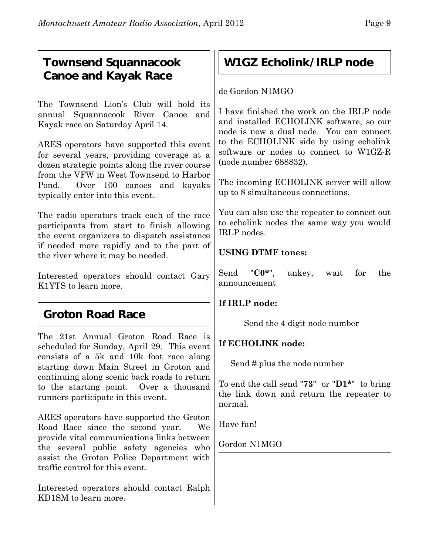## **Townsend Squannacook Canoe and Kayak Race**

The Townsend Lion's Club will hold its annual Squannacook River Canoe and Kayak race on Saturday April 14.

ARES operators have supported this event for several years, providing coverage at a dozen strategic points along the river course from the VFW in West Townsend to Harbor Pond. Over 100 canoes and kayaks typically enter into this event.

The radio operators track each of the race participants from start to finish allowing the event organizers to dispatch assistance if needed more rapidly and to the part of the river where it may be needed.

Interested operators should contact Gary K1YTS to learn more.

## **Groton Road Race**

The 21st Annual Groton Road Race is scheduled for Sunday, April 29. This event consists of a 5k and 10k foot race along starting down Main Street in Groton and continuing along scenic back roads to return to the starting point. Over a thousand runners participate in this event.

ARES operators have supported the Groton Road Race since the second year. We provide vital communications links between the several public safety agencies who assist the Groton Police Department with traffic control for this event.

Interested operators should contact Ralph KD1SM to learn more.

## **W1GZ Echolink/IRLP node**

de Gordon N1MGO

I have finished the work on the IRLP node and installed ECHOLINK software, so our node is now a dual node. You can connect to the ECHOLINK side by using echolink software or nodes to connect to W1GZ-R (node number 688832).

The incoming ECHOLINK server will allow up to 8 simultaneous connections.

You can also use the repeater to connect out to echolink nodes the same way you would IRLP nodes.

#### **USING DTMF tones:**

Send "**C0\***", unkey, wait for the announcement

#### **If IRLP node:**

Send the 4 digit node number

#### **If ECHOLINK node:**

Send # plus the node number

To end the call send "**73**" or "**D1\***" to bring the link down and return the repeater to normal.

Have fun!

Gordon N1MGO